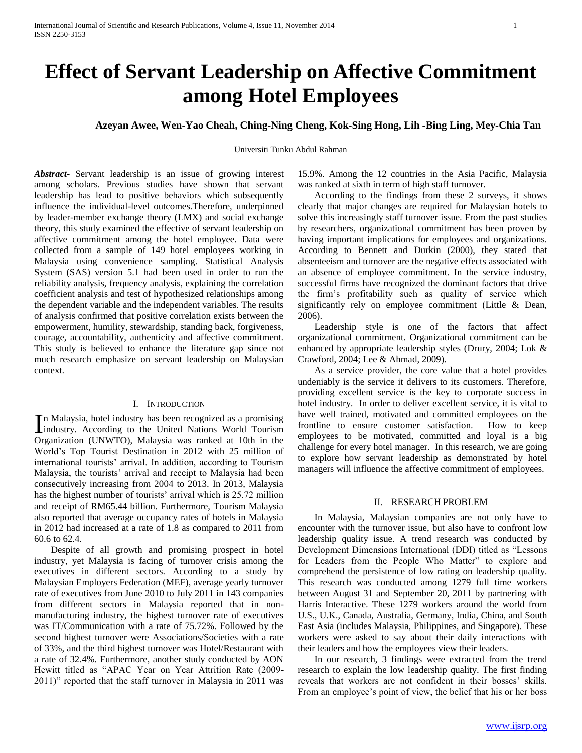# **Effect of Servant Leadership on Affective Commitment among Hotel Employees**

# **Azeyan Awee, Wen-Yao Cheah, Ching-Ning Cheng, Kok-Sing Hong, Lih -Bing Ling, Mey-Chia Tan**

Universiti Tunku Abdul Rahman

*Abstract***-** Servant leadership is an issue of growing interest among scholars. Previous studies have shown that servant leadership has lead to positive behaviors which subsequently influence the individual-level outcomes.Therefore, underpinned by leader-member exchange theory (LMX) and social exchange theory, this study examined the effective of servant leadership on affective commitment among the hotel employee. Data were collected from a sample of 149 hotel employees working in Malaysia using convenience sampling. Statistical Analysis System (SAS) version 5.1 had been used in order to run the reliability analysis, frequency analysis, explaining the correlation coefficient analysis and test of hypothesized relationships among the dependent variable and the independent variables. The results of analysis confirmed that positive correlation exists between the empowerment, humility, stewardship, standing back, forgiveness, courage, accountability, authenticity and affective commitment. This study is believed to enhance the literature gap since not much research emphasize on servant leadership on Malaysian context.

## I. INTRODUCTION

n Malaysia, hotel industry has been recognized as a promising In Malaysia, hotel industry has been recognized as a promising<br>industry. According to the United Nations World Tourism Organization (UNWTO), Malaysia was ranked at 10th in the World's Top Tourist Destination in 2012 with 25 million of international tourists' arrival. In addition, according to Tourism Malaysia, the tourists' arrival and receipt to Malaysia had been consecutively increasing from 2004 to 2013. In 2013, Malaysia has the highest number of tourists' arrival which is 25.72 million and receipt of RM65.44 billion. Furthermore, Tourism Malaysia also reported that average occupancy rates of hotels in Malaysia in 2012 had increased at a rate of 1.8 as compared to 2011 from 60.6 to 62.4.

 Despite of all growth and promising prospect in hotel industry, yet Malaysia is facing of turnover crisis among the executives in different sectors. According to a study by Malaysian Employers Federation (MEF), average yearly turnover rate of executives from June 2010 to July 2011 in 143 companies from different sectors in Malaysia reported that in nonmanufacturing industry, the highest turnover rate of executives was IT/Communication with a rate of 75.72%. Followed by the second highest turnover were Associations/Societies with a rate of 33%, and the third highest turnover was Hotel/Restaurant with a rate of 32.4%. Furthermore, another study conducted by AON Hewitt titled as "APAC Year on Year Attrition Rate (2009- 2011)" reported that the staff turnover in Malaysia in 2011 was

15.9%. Among the 12 countries in the Asia Pacific, Malaysia was ranked at sixth in term of high staff turnover.

 According to the findings from these 2 surveys, it shows clearly that major changes are required for Malaysian hotels to solve this increasingly staff turnover issue. From the past studies by researchers, organizational commitment has been proven by having important implications for employees and organizations. According to Bennett and Durkin (2000), they stated that absenteeism and turnover are the negative effects associated with an absence of employee commitment. In the service industry, successful firms have recognized the dominant factors that drive the firm's profitability such as quality of service which significantly rely on employee commitment (Little & Dean, 2006).

 Leadership style is one of the factors that affect organizational commitment. Organizational commitment can be enhanced by appropriate leadership styles (Drury, 2004; Lok & Crawford, 2004; Lee & Ahmad, 2009).

 As a service provider, the core value that a hotel provides undeniably is the service it delivers to its customers. Therefore, providing excellent service is the key to corporate success in hotel industry. In order to deliver excellent service, it is vital to have well trained, motivated and committed employees on the frontline to ensure customer satisfaction. How to keep employees to be motivated, committed and loyal is a big challenge for every hotel manager. In this research, we are going to explore how servant leadership as demonstrated by hotel managers will influence the affective commitment of employees.

#### II. RESEARCH PROBLEM

 In Malaysia, Malaysian companies are not only have to encounter with the turnover issue, but also have to confront low leadership quality issue. A trend research was conducted by Development Dimensions International (DDI) titled as "Lessons for Leaders from the People Who Matter" to explore and comprehend the persistence of low rating on leadership quality. This research was conducted among 1279 full time workers between August 31 and September 20, 2011 by partnering with Harris Interactive. These 1279 workers around the world from U.S., U.K., Canada, Australia, Germany, India, China, and South East Asia (includes Malaysia, Philippines, and Singapore). These workers were asked to say about their daily interactions with their leaders and how the employees view their leaders.

 In our research, 3 findings were extracted from the trend research to explain the low leadership quality. The first finding reveals that workers are not confident in their bosses' skills. From an employee's point of view, the belief that his or her boss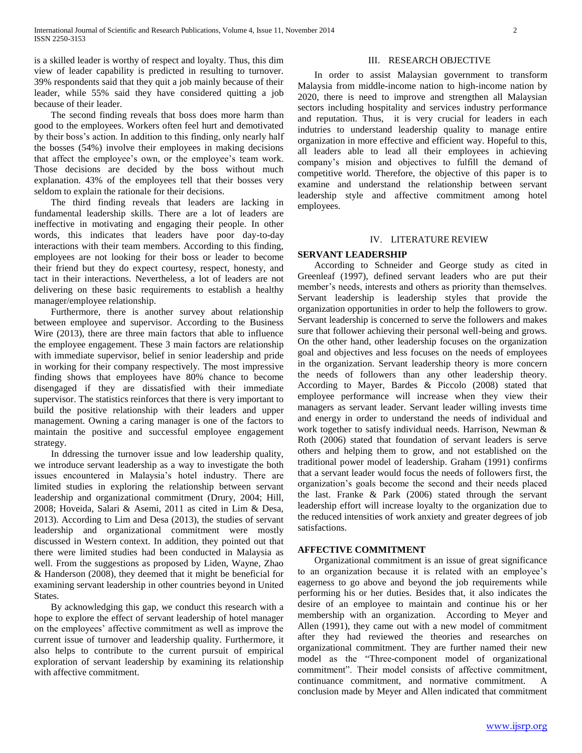is a skilled leader is worthy of respect and loyalty. Thus, this dim view of leader capability is predicted in resulting to turnover. 39% respondents said that they quit a job mainly because of their leader, while 55% said they have considered quitting a job because of their leader.

 The second finding reveals that boss does more harm than good to the employees. Workers often feel hurt and demotivated by their boss's action. In addition to this finding, only nearly half the bosses (54%) involve their employees in making decisions that affect the employee's own, or the employee's team work. Those decisions are decided by the boss without much explanation. 43% of the employees tell that their bosses very seldom to explain the rationale for their decisions.

 The third finding reveals that leaders are lacking in fundamental leadership skills. There are a lot of leaders are ineffective in motivating and engaging their people. In other words, this indicates that leaders have poor day-to-day interactions with their team members. According to this finding, employees are not looking for their boss or leader to become their friend but they do expect courtesy, respect, honesty, and tact in their interactions. Nevertheless, a lot of leaders are not delivering on these basic requirements to establish a healthy manager/employee relationship.

 Furthermore, there is another survey about relationship between employee and supervisor. According to the Business Wire (2013), there are three main factors that able to influence the employee engagement. These 3 main factors are relationship with immediate supervisor, belief in senior leadership and pride in working for their company respectively. The most impressive finding shows that employees have 80% chance to become disengaged if they are dissatisfied with their immediate supervisor. The statistics reinforces that there is very important to build the positive relationship with their leaders and upper management. Owning a caring manager is one of the factors to maintain the positive and successful employee engagement strategy.

 In ddressing the turnover issue and low leadership quality, we introduce servant leadership as a way to investigate the both issues encountered in Malaysia's hotel industry. There are limited studies in exploring the relationship between servant leadership and organizational commitment (Drury, 2004; Hill, 2008; Hoveida, Salari & Asemi, 2011 as cited in Lim & Desa, 2013). According to Lim and Desa (2013), the studies of servant leadership and organizational commitment were mostly discussed in Western context. In addition, they pointed out that there were limited studies had been conducted in Malaysia as well. From the suggestions as proposed by Liden, Wayne, Zhao & Handerson (2008), they deemed that it might be beneficial for examining servant leadership in other countries beyond in United States.

 By acknowledging this gap, we conduct this research with a hope to explore the effect of servant leadership of hotel manager on the employees' affective commitment as well as improve the current issue of turnover and leadership quality. Furthermore, it also helps to contribute to the current pursuit of empirical exploration of servant leadership by examining its relationship with affective commitment.

#### III. RESEARCH OBJECTIVE

 In order to assist Malaysian government to transform Malaysia from middle-income nation to high-income nation by 2020, there is need to improve and strengthen all Malaysian sectors including hospitality and services industry performance and reputation. Thus, it is very crucial for leaders in each indutries to understand leadership quality to manage entire organization in more effective and efficient way. Hopeful to this, all leaders able to lead all their employees in achieving company's mision and objectives to fulfill the demand of competitive world. Therefore, the objective of this paper is to examine and understand the relationship between servant leadership style and affective commitment among hotel employees.

#### IV. LITERATURE REVIEW

## **SERVANT LEADERSHIP**

 According to Schneider and George study as cited in Greenleaf (1997), defined servant leaders who are put their member's needs, interests and others as priority than themselves. Servant leadership is leadership styles that provide the organization opportunities in order to help the followers to grow. Servant leadership is concerned to serve the followers and makes sure that follower achieving their personal well-being and grows. On the other hand, other leadership focuses on the organization goal and objectives and less focuses on the needs of employees in the organization. Servant leadership theory is more concern the needs of followers than any other leadership theory. According to Mayer, Bardes & Piccolo (2008) stated that employee performance will increase when they view their managers as servant leader. Servant leader willing invests time and energy in order to understand the needs of individual and work together to satisfy individual needs. Harrison, Newman & Roth (2006) stated that foundation of servant leaders is serve others and helping them to grow, and not established on the traditional power model of leadership. Graham (1991) confirms that a servant leader would focus the needs of followers first, the organization's goals become the second and their needs placed the last. Franke & Park (2006) stated through the servant leadership effort will increase loyalty to the organization due to the reduced intensities of work anxiety and greater degrees of job satisfactions.

#### **AFFECTIVE COMMITMENT**

 Organizational commitment is an issue of great significance to an organization because it is related with an employee's eagerness to go above and beyond the job requirements while performing his or her duties. Besides that, it also indicates the desire of an employee to maintain and continue his or her membership with an organization. According to Meyer and Allen (1991), they came out with a new model of commitment after they had reviewed the theories and researches on organizational commitment. They are further named their new model as the "Three-component model of organizational commitment". Their model consists of affective commitment, continuance commitment, and normative commitment. A conclusion made by Meyer and Allen indicated that commitment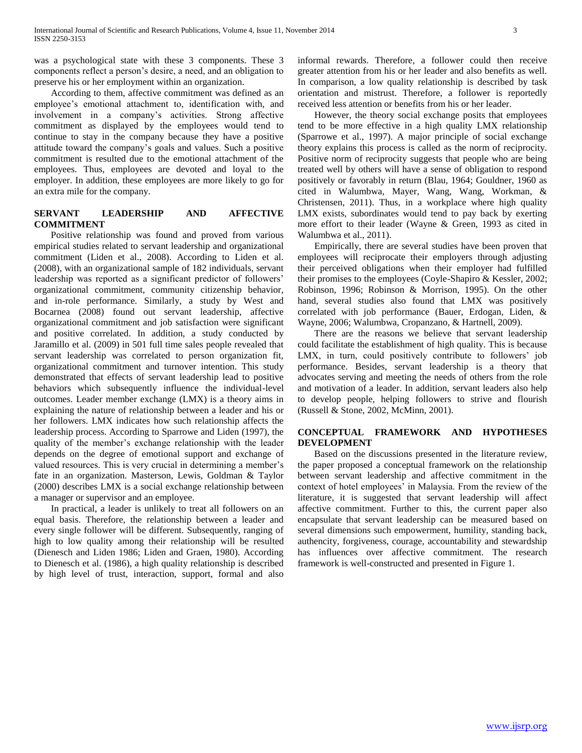was a psychological state with these 3 components. These 3 components reflect a person's desire, a need, and an obligation to preserve his or her employment within an organization.

 According to them, affective commitment was defined as an employee's emotional attachment to, identification with, and involvement in a company's activities. Strong affective commitment as displayed by the employees would tend to continue to stay in the company because they have a positive attitude toward the company's goals and values. Such a positive commitment is resulted due to the emotional attachment of the employees. Thus, employees are devoted and loyal to the employer. In addition, these employees are more likely to go for an extra mile for the company.

# **SERVANT LEADERSHIP AND AFFECTIVE COMMITMENT**

 Positive relationship was found and proved from various empirical studies related to servant leadership and organizational commitment (Liden et al., 2008). According to Liden et al. (2008), with an organizational sample of 182 individuals, servant leadership was reported as a significant predictor of followers' organizational commitment, community citizenship behavior, and in-role performance. Similarly, a study by West and Bocarnea (2008) found out servant leadership, affective organizational commitment and job satisfaction were significant and positive correlated. In addition, a study conducted by Jaramillo et al. (2009) in 501 full time sales people revealed that servant leadership was correlated to person organization fit, organizational commitment and turnover intention. This study demonstrated that effects of servant leadership lead to positive behaviors which subsequently influence the individual-level outcomes. Leader member exchange (LMX) is a theory aims in explaining the nature of relationship between a leader and his or her followers. LMX indicates how such relationship affects the leadership process. According to Sparrowe and Liden (1997), the quality of the member's exchange relationship with the leader depends on the degree of emotional support and exchange of valued resources. This is very crucial in determining a member's fate in an organization. Masterson, Lewis, Goldman & Taylor (2000) describes LMX is a social exchange relationship between a manager or supervisor and an employee.

 In practical, a leader is unlikely to treat all followers on an equal basis. Therefore, the relationship between a leader and every single follower will be different. Subsequently, ranging of high to low quality among their relationship will be resulted (Dienesch and Liden 1986; Liden and Graen, 1980). According to Dienesch et al. (1986), a high quality relationship is described by high level of trust, interaction, support, formal and also

informal rewards. Therefore, a follower could then receive greater attention from his or her leader and also benefits as well. In comparison, a low quality relationship is described by task orientation and mistrust. Therefore, a follower is reportedly received less attention or benefits from his or her leader.

 However, the theory social exchange posits that employees tend to be more effective in a high quality LMX relationship (Sparrowe et al., 1997). A major principle of social exchange theory explains this process is called as the norm of reciprocity. Positive norm of reciprocity suggests that people who are being treated well by others will have a sense of obligation to respond positively or favorably in return (Blau, 1964; Gouldner, 1960 as cited in Walumbwa, Mayer, Wang, Wang, Workman, & Christensen, 2011). Thus, in a workplace where high quality LMX exists, subordinates would tend to pay back by exerting more effort to their leader (Wayne & Green, 1993 as cited in Walumbwa et al., 2011).

 Empirically, there are several studies have been proven that employees will reciprocate their employers through adjusting their perceived obligations when their employer had fulfilled their promises to the employees (Coyle-Shapiro & Kessler, 2002; Robinson, 1996; Robinson & Morrison, 1995). On the other hand, several studies also found that LMX was positively correlated with job performance (Bauer, Erdogan, Liden, & Wayne, 2006; Walumbwa, Cropanzano, & Hartnell, 2009).

 There are the reasons we believe that servant leadership could facilitate the establishment of high quality. This is because LMX, in turn, could positively contribute to followers' job performance. Besides, servant leadership is a theory that advocates serving and meeting the needs of others from the role and motivation of a leader. In addition, servant leaders also help to develop people, helping followers to strive and flourish (Russell & Stone, 2002, McMinn, 2001).

# **CONCEPTUAL FRAMEWORK AND HYPOTHESES DEVELOPMENT**

 Based on the discussions presented in the literature review, the paper proposed a conceptual framework on the relationship between servant leadership and affective commitment in the context of hotel employees' in Malaysia. From the review of the literature, it is suggested that servant leadership will affect affective commitment. Further to this, the current paper also encapsulate that servant leadership can be measured based on several dimensions such empowerment, humility, standing back, authencity, forgiveness, courage, accountability and stewardship has influences over affective commitment. The research framework is well-constructed and presented in Figure 1.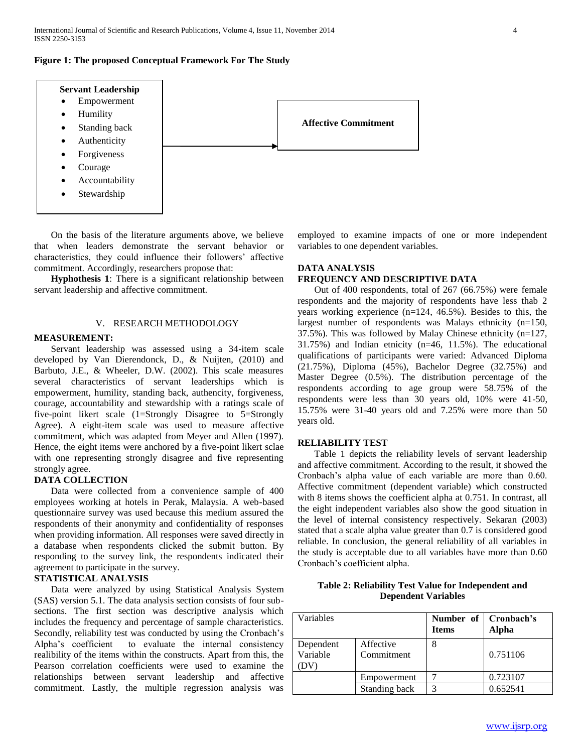

 On the basis of the literature arguments above, we believe that when leaders demonstrate the servant behavior or characteristics, they could influence their followers' affective commitment. Accordingly, researchers propose that:

 **Hyphothesis 1**: There is a significant relationship between servant leadership and affective commitment.

## V. RESEARCH METHODOLOGY

## **MEASUREMENT:**

 Servant leadership was assessed using a 34-item scale developed by Van Dierendonck, D., & Nuijten, (2010) and Barbuto, J.E., & Wheeler, D.W. (2002). This scale measures several characteristics of servant leaderships which is empowerment, humility, standing back, authencity, forgiveness, courage, accountability and stewardship with a ratings scale of five-point likert scale (1=Strongly Disagree to 5=Strongly Agree). A eight-item scale was used to measure affective commitment, which was adapted from Meyer and Allen (1997). Hence, the eight items were anchored by a five-point likert sclae with one representing strongly disagree and five representing strongly agree.

# **DATA COLLECTION**

 Data were collected from a convenience sample of 400 employees working at hotels in Perak, Malaysia. A web-based questionnaire survey was used because this medium assured the respondents of their anonymity and confidentiality of responses when providing information. All responses were saved directly in a database when respondents clicked the submit button. By responding to the survey link, the respondents indicated their agreement to participate in the survey.

## **STATISTICAL ANALYSIS**

 Data were analyzed by using Statistical Analysis System (SAS) version 5.1. The data analysis section consists of four subsections. The first section was descriptive analysis which includes the frequency and percentage of sample characteristics. Secondly, reliability test was conducted by using the Cronbach's Alpha's coefficient to evaluate the internal consistency realibility of the items within the constructs. Apart from this, the Pearson correlation coefficients were used to examine the relationships between servant leadership and affective commitment. Lastly, the multiple regression analysis was

employed to examine impacts of one or more independent variables to one dependent variables.

# **DATA ANALYSIS**

# **FREQUENCY AND DESCRIPTIVE DATA**

 Out of 400 respondents, total of 267 (66.75%) were female respondents and the majority of respondents have less thab 2 years working experience (n=124, 46.5%). Besides to this, the largest number of respondents was Malays ethnicity (n=150, 37.5%). This was followed by Malay Chinese ethnicity (n=127, 31.75%) and Indian etnicity (n=46, 11.5%). The educational qualifications of participants were varied: Advanced Diploma  $(21.75\%)$ , Diploma  $(45\%)$ , Bachelor Degree  $(32.75\%)$  and Master Degree (0.5%). The distribution percentage of the respondents according to age group were 58.75% of the respondents were less than 30 years old, 10% were 41-50, 15.75% were 31-40 years old and 7.25% were more than 50 years old.

#### **RELIABILITY TEST**

 Table 1 depicts the reliability levels of servant leadership and affective commitment. According to the result, it showed the Cronbach's alpha value of each variable are more than 0.60. Affective commitment (dependent variable) which constructed with 8 items shows the coefficient alpha at 0.751. In contrast, all the eight independent variables also show the good situation in the level of internal consistency respectively. Sekaran (2003) stated that a scale alpha value greater than 0.7 is considered good reliable. In conclusion, the general reliability of all variables in the study is acceptable due to all variables have more than 0.60 Cronbach's coefficient alpha.

| Table 2: Reliability Test Value for Independent and |
|-----------------------------------------------------|
| <b>Dependent Variables</b>                          |

| Variables             |                         | <b>Items</b> | Number of   Cronbach's<br>Alpha |
|-----------------------|-------------------------|--------------|---------------------------------|
| Dependent<br>Variable | Affective<br>Commitment | 8            | 0.751106                        |
|                       | Empowerment             |              | 0.723107                        |
|                       | Standing back           | 3            | 0.652541                        |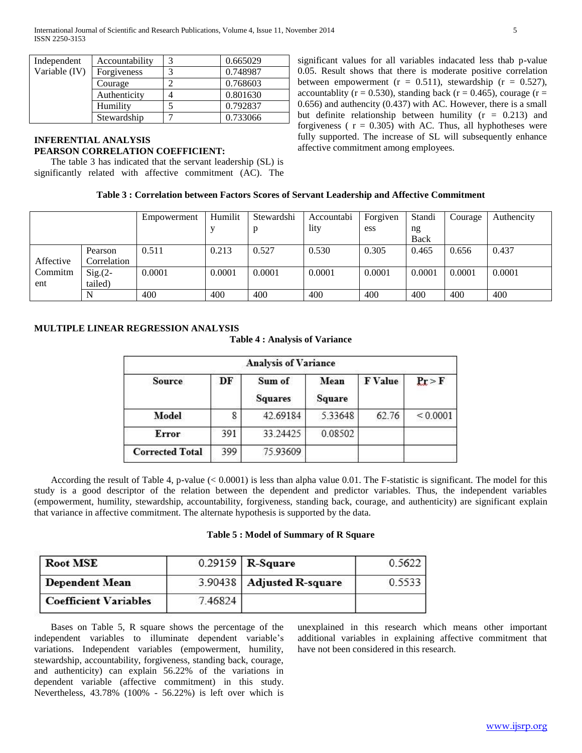| Independent   | Accountability | 0.665029 |
|---------------|----------------|----------|
| Variable (IV) | Forgiveness    | 0.748987 |
|               | Courage        | 0.768603 |
|               | Authenticity   | 0.801630 |
|               | Humility       | 0.792837 |
|               | Stewardship    | 0.733066 |

# **INFERENTIAL ANALYSIS PEARSON CORRELATION COEFFICIENT:**

 The table 3 has indicated that the servant leadership (SL) is significantly related with affective commitment (AC). The significant values for all variables indacated less thab p-value 0.05. Result shows that there is moderate positive correlation between empowerment ( $r = 0.511$ ), stewardship ( $r = 0.527$ ), accountablity ( $r = 0.530$ ), standing back ( $r = 0.465$ ), courage ( $r =$ 0.656) and authencity (0.437) with AC. However, there is a small but definite relationship between humility  $(r = 0.213)$  and forgiveness ( $r = 0.305$ ) with AC. Thus, all hyphotheses were fully supported. The increase of SL will subsequently enhance affective commitment among employees.

## **Table 3 : Correlation between Factors Scores of Servant Leadership and Affective Commitment**

|           |             | Empowerment | Humilit | Stewardshi | Accountabi | Forgiven | Standi | Courage | Authencity |
|-----------|-------------|-------------|---------|------------|------------|----------|--------|---------|------------|
|           |             |             |         | D          | lity       | ess      | ng     |         |            |
|           |             |             |         |            |            |          | Back   |         |            |
|           | Pearson     | 0.511       | 0.213   | 0.527      | 0.530      | 0.305    | 0.465  | 0.656   | 0.437      |
| Affective | Correlation |             |         |            |            |          |        |         |            |
| Commitm   | $Sig(2 -$   | 0.0001      | 0.0001  | 0.0001     | 0.0001     | 0.0001   | 0.0001 | 0.0001  | 0.0001     |
| ent       | tailed)     |             |         |            |            |          |        |         |            |
|           | N           | 400         | 400     | 400        | 400        | 400      | 400    | 400     | 400        |

# **MULTIPLE LINEAR REGRESSION ANALYSIS**

**Table 4 : Analysis of Variance**

| <b>Analysis of Variance</b> |     |                          |                       |         |          |  |
|-----------------------------|-----|--------------------------|-----------------------|---------|----------|--|
| <b>Source</b>               | DF  | Sum of<br><b>Squares</b> | Mean<br><b>Square</b> | F Value | Pr > F   |  |
| Model                       |     | 42.69184                 | 5.33648               | 62.76   | < 0.0001 |  |
| Error                       | 391 | 33.24425                 | 0.08502               |         |          |  |
| <b>Corrected Total</b>      | 399 | 75.93609                 |                       |         |          |  |

 According the result of Table 4, p-value (< 0.0001) is less than alpha value 0.01. The F-statistic is significant. The model for this study is a good descriptor of the relation between the dependent and predictor variables. Thus, the independent variables (empowerment, humility, stewardship, accountability, forgiveness, standing back, courage, and authenticity) are significant explain that variance in affective commitment. The alternate hypothesis is supported by the data.

## **Table 5 : Model of Summary of R Square**

| <b>Root MSE</b>              |         | $0.29159$ R-Square          | 0.5622 |
|------------------------------|---------|-----------------------------|--------|
| Dependent Mean               |         | 3.90438   Adjusted R-square | 0.5533 |
| <b>Coefficient Variables</b> | 7.46824 |                             |        |

 Bases on Table 5, R square shows the percentage of the independent variables to illuminate dependent variable's variations. Independent variables (empowerment, humility, stewardship, accountability, forgiveness, standing back, courage, and authenticity) can explain 56.22% of the variations in dependent variable (affective commitment) in this study. Nevertheless, 43.78% (100% - 56.22%) is left over which is

unexplained in this research which means other important additional variables in explaining affective commitment that have not been considered in this research.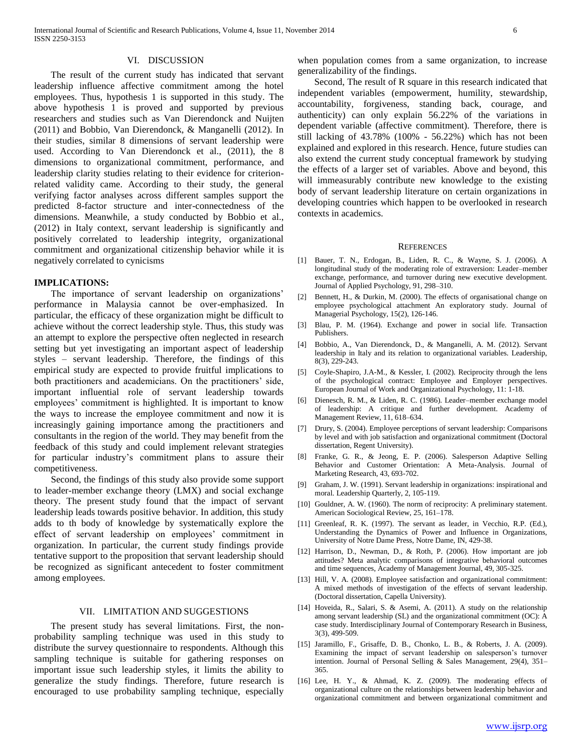#### VI. DISCUSSION

 The result of the current study has indicated that servant leadership influence affective commitment among the hotel employees. Thus, hypothesis 1 is supported in this study. The above hypothesis 1 is proved and supported by previous researchers and studies such as Van Dierendonck and Nuijten (2011) and Bobbio, Van Dierendonck, & Manganelli (2012). In their studies, similar 8 dimensions of servant leadership were used. According to Van Dierendonck et al., (2011), the 8 dimensions to organizational commitment, performance, and leadership clarity studies relating to their evidence for criterionrelated validity came. According to their study, the general verifying factor analyses across different samples support the predicted 8-factor structure and inter-connectedness of the dimensions. Meanwhile, a study conducted by Bobbio et al., (2012) in Italy context, servant leadership is significantly and positively correlated to leadership integrity, organizational commitment and organizational citizenship behavior while it is negatively correlated to cynicisms

#### **IMPLICATIONS:**

 The importance of servant leadership on organizations' performance in Malaysia cannot be over-emphasized. In particular, the efficacy of these organization might be difficult to achieve without the correct leadership style. Thus, this study was an attempt to explore the perspective often neglected in research setting but yet investigating an important aspect of leadership styles – servant leadership. Therefore, the findings of this empirical study are expected to provide fruitful implications to both practitioners and academicians. On the practitioners' side, important influential role of servant leadership towards employees' commitment is highlighted. It is important to know the ways to increase the employee commitment and now it is increasingly gaining importance among the practitioners and consultants in the region of the world. They may benefit from the feedback of this study and could implement relevant strategies for particular industry's commitment plans to assure their competitiveness.

 Second, the findings of this study also provide some support to leader-member exchange theory (LMX) and social exchange theory. The present study found that the impact of servant leadership leads towards positive behavior. In addition, this study adds to th body of knowledge by systematically explore the effect of servant leadership on employees' commitment in organization. In particular, the current study findings provide tentative support to the proposition that servant leadership should be recognized as significant antecedent to foster commitment among employees.

# VII. LIMITATION AND SUGGESTIONS

 The present study has several limitations. First, the nonprobability sampling technique was used in this study to distribute the survey questionnaire to respondents. Although this sampling technique is suitable for gathering responses on important issue such leadership styles, it limits the ability to generalize the study findings. Therefore, future research is encouraged to use probability sampling technique, especially

when population comes from a same organization, to increase generalizability of the findings.

 Second, The result of R square in this research indicated that independent variables (empowerment, humility, stewardship, accountability, forgiveness, standing back, courage, and authenticity) can only explain 56.22% of the variations in dependent variable (affective commitment). Therefore, there is still lacking of 43.78% (100% - 56.22%) which has not been explained and explored in this research. Hence, future studies can also extend the current study conceptual framework by studying the effects of a larger set of variables. Above and beyond, this will immeasurably contribute new knowledge to the existing body of servant leadership literature on certain organizations in developing countries which happen to be overlooked in research contexts in academics.

#### **REFERENCES**

- [1] Bauer, T. N., Erdogan, B., Liden, R. C., & Wayne, S. J. (2006). A longitudinal study of the moderating role of extraversion: Leader–member exchange, performance, and turnover during new executive development. Journal of Applied Psychology, 91, 298–310.
- [2] Bennett, H., & Durkin, M. (2000). The effects of organisational change on employee psychological attachment An exploratory study. Journal of Managerial Psychology, 15(2), 126-146.
- [3] Blau, P. M. (1964). Exchange and power in social life. Transaction Publishers.
- [4] Bobbio, A., Van Dierendonck, D., & Manganelli, A. M. (2012). Servant leadership in Italy and its relation to organizational variables. Leadership, 8(3), 229-243.
- [5] Coyle-Shapiro, J.A-M., & Kessler, I. (2002). Reciprocity through the lens of the psychological contract: Employee and Employer perspectives. European Journal of Work and Organizational Psychology, 11: 1-18.
- [6] Dienesch, R. M., & Liden, R. C. (1986). Leader–member exchange model of leadership: A critique and further development. Academy of Management Review, 11, 618–634.
- [7] Drury, S. (2004). Employee perceptions of servant leadership: Comparisons by level and with job satisfaction and organizational commitment (Doctoral dissertation, Regent University).
- [8] Franke, G. R., & Jeong, E. P. (2006). Salesperson Adaptive Selling Behavior and Customer Orientation: A Meta-Analysis. Journal of Marketing Research, 43, 693-702.
- [9] Graham, J. W. (1991). Servant leadership in organizations: inspirational and moral. Leadership Quarterly, 2, 105-119.
- [10] Gouldner, A. W. (1960). The norm of reciprocity: A preliminary statement. American Sociological Review, 25, 161–178.
- [11] Greenleaf, R. K. (1997). The servant as leader, in Vecchio, R.P. (Ed.), Understanding the Dynamics of Power and Influence in Organizations, University of Notre Dame Press, Notre Dame, IN, 429-38.
- [12] Harrison, D., Newman, D., & Roth, P. (2006). How important are job attitudes? Meta analytic comparisons of integrative behavioral outcomes and time sequences, Academy of Management Journal, 49, 305-325.
- [13] Hill, V. A. (2008). Employee satisfaction and organizational commitment: A mixed methods of investigation of the effects of servant leadership. (Doctoral dissertation, Capella University).
- [14] Hoveida, R., Salari, S. & Asemi, A. (2011). A study on the relationship among servant leadership (SL) and the organizational commitment (OC): A case study. Interdisciplinary Journal of Contemporary Research in Business, 3(3), 499-509.
- [15] Jaramillo, F., Grisaffe, D. B., Chonko, L. B., & Roberts, J. A. (2009). Examining the impact of servant leadership on salesperson's turnover intention. Journal of Personal Selling & Sales Management, 29(4), 351– 365.
- [16] Lee, H. Y., & Ahmad, K. Z. (2009). The moderating effects of organizational culture on the relationships between leadership behavior and organizational commitment and between organizational commitment and